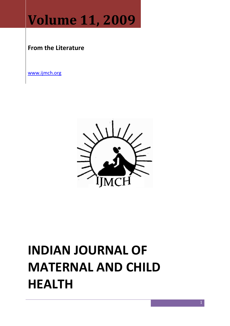# Volume 11, 2009

# From the Literature

www.ijmch.org



# INDIAN JOURNAL OF MATERNAL AND CHILD HEALTH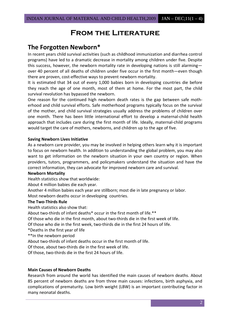# From the Literature

## The Forgotten Newborn\*

In recent years child survival activities (such as childhood immunization and diarrhea control programs) have led to a dramatic decrease in mortality among children under five. Despite this success, however, the newborn mortality rate in developing nations is still alarming over 40 percent of all deaths of children under five occur in the first month—even though there are proven, cost-effective ways to prevent newborn mortality.

It is estimated that 34 out of every 1,000 babies born in developing countries die before they reach the age of one month, most of them at home. For the most part, the child survival revolution has bypassed the newborn.

One reason for the continued high newborn death rates is the gap between safe motherhood and child survival efforts. Safe motherhood programs typically focus on the survival of the mother, and child survival strategies usually address the problems of children over one month. There has been little international effort to develop a maternal-child health approach that includes care during the first month of life. Ideally, maternal-child programs would target the care of mothers, newborns, and children up to the age of five.

### Saving Newborn Lives Initiative

As a newborn care provider, you may be involved in helping others learn why it is important to focus on newborn health. In addition to understanding the global problem, you may also want to get information on the newborn situation in your own country or region. When providers, tutors, programmers, and policymakers understand the situation and have the correct information, they can advocate for improved newborn care and survival.

### Newborn Mortality

Health statistics show that worldwide:

About 4 million babies die each year.

Another 4 million babies each year are stillborn; most die in late pregnancy or labor.

Most newborn deaths occur in developing countries.

### The Two-Thirds Rule

Health statistics also show that:

About two-thirds of infant deaths\* occur in the first month of life.\*\*

Of those who die in the first month, about two-thirds die in the first week of life.

Of those who die in the first week, two-thirds die in the first 24 hours of life.

\*Deaths in the first year of life

\*\*In the newborn period

About two-thirds of infant deaths occur in the first month of life.

Of those, about two-thirds die in the first week of life.

Of those, two-thirds die in the first 24 hours of life.

### Main Causes of Newborn Deaths

Research from around the world has identified the main causes of newborn deaths. About 85 percent of newborn deaths are from three main causes: infections, birth asphyxia, and complications of prematurity. Low birth weight (LBW) is an important contributing factor in many neonatal deaths.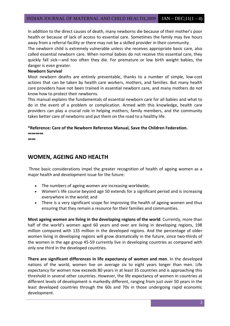In addition to the direct causes of death, many newborns die because of their mother's poor health or because of lack of access to essential care. Sometimes the family may live hours away from a referral facility or there may not be a skilled provider in their community.

The newborn child is extremely vulnerable unless she receives appropriate basic care, also called essential newborn care. When normal babies do not receive this essential care, they quickly fall sick—and too often they die. For premature or low birth weight babies, the danger is even greater.

### Newborn Survival

Most newborn deaths are entirely preventable, thanks to a number of simple, low-cost actions that can be taken by health care workers, mothers, and families. But many health care providers have not been trained in essential newborn care, and many mothers do not know how to protect their newborns.

This manual explains the fundamentals of essential newborn care for all babies and what to do in the event of a problem or complication. Armed with this knowledge, health care providers can play a crucial role in helping mothers, family members, and the community takes better care of newborns and put them on the road to a healthy life.

### \*Reference: Care of the Newborn Reference Manual, Save the Children Federation.

∞∞∞∞

∞∞

### WOMEN, AGEING AND HEALTH

Three basic considerations impel the greater recognition of health of ageing women as a major health and development issue for the future:

- The numbers of ageing women are increasing worldwide;
- Women's life course beyond age 50 extends for a significant period and is increasing everywhere in the world; and
- There is a very significant scope for improving the health of ageing women and thus ensuring that they remain a resource for their families and communities.

Most ageing women are living in the developing regions of the world. Currently, more than half of the world's women aged 60 years and over are living in developing regions, 198 million compared with 135 million in the developed regions. And the percentage of older women living in developing regions will grow dramatically in the future, since two-thirds of the women in the age group 45-59 currently live in developing countries as compared with only one third in the developed countries.

There are significant differences in life expectancy of women and men. In the developed nations of the world, women live on average six to eight years longer than men. Life expectancy for women now exceeds 80 years in at least 35 countries and is approaching this threshold in several other countries. However, the life expectancy of women in countries at different levels of development is markedly different, ranging from just over 50 years in the least developed countries through the 60s and 70s in those undergoing rapid economic development.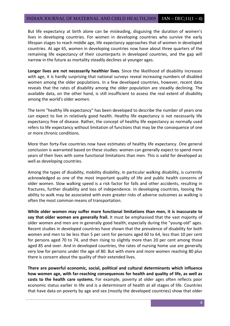But life expectancy at birth alone can be misleading, disguising the duration of women's lives in developing countries. For women in developing countries who survive the early lifespan stages to reach middle age, life expectancy approaches that of women in developed countries. At age 65, women in developing countries now have about three quarters of the remaining life expectancy of their counterparts in developed countries, and the gap will narrow in the future as mortality steadily declines at younger ages.

Longer lives are not necessarily healthier lives. Since the likelihood of disability increases with age, it is hardly surprising that national surveys reveal increasing numbers of disabled women among the older populations. In a few developed countries, however, recent data reveals that the rates of disability among the older population are steadily declining. The available data, on the other hand, is still insufficient to assess the real extent of disability among the world's older women.

The term "healthy life expectancy" has been developed to describe the number of years one can expect to live in relatively good health. Healthy life expectancy is not necessarily life expectancy free of disease. Rather, the concept of healthy life expectancy as normally used refers to life expectancy without limitation of functions that may be the consequence of one or more chronic conditions.

More than forty-five countries now have estimates of healthy life expectancy. One general conclusion is warranted based on these studies: women can generally expect to spend more years of their lives with some functional limitations than men. This is valid for developed as well as developing countries.

Among the types of disability, mobility disability, in particular walking disability, is currently acknowledged as one of the most important quality of life and public health concerns of older women. Slow walking speed is a risk factor for falls and other accidents, resulting in fractures, further disability and loss of independence. In developing countries, loosing the ability to walk may be associated with even greater risks of adverse outcomes as walking is often the most common means of transportation.

While older women may suffer more functional limitations than men, it is inaccurate to say that older women are generally frail. It must be emphasised that the vast majority of older women and men are in generally good health, especially during the "young-old" ages. Recent studies in developed countries have shown that the prevalence of disability for both women and men to be less than 5 per cent for persons aged 60 to 64, less than 10 per cent for persons aged 70 to 74, and then rising to slightly more than 20 per cent among those aged 85 and over. And in developed countries, the rates of nursing home use are generally very low for persons under the age of 80. But with more and more women reaching 80 plus there is concern about the quality of their extended lives.

There are powerful economic, social, political and cultural determinants which influence how women age, with far-reaching consequences for health and quality of life, as well as costs to the health care systems. For example, poverty at older ages often reflects poor economic status earlier in life and is a determinant of health at all stages of life. Countries that have data on poverty by age and sex (mostly the developed countries) show that older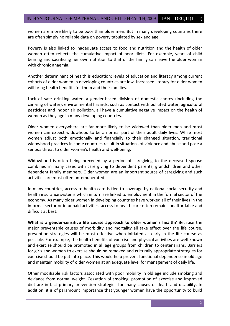women are more likely to be poor than older men. But in many developing countries there are often simply no reliable data on poverty tabulated by sex and age.

Poverty is also linked to inadequate access to food and nutrition and the health of older women often reflects the cumulative impact of poor diets. For example, years of child bearing and sacrificing her own nutrition to that of the family can leave the older woman with chronic anaemia.

Another determinant of health is education; levels of education and literacy among current cohorts of older women in developing countries are low. Increased literacy for older women will bring health benefits for them and their families.

Lack of safe drinking water, a gender-based division of domestic chores (including the carrying of water), environmental hazards, such as contact with polluted water, agricultural pesticides and indoor air pollution, all have a cumulative negative impact on the health of women as they age in many developing countries.

Older women everywhere are far more likely to be widowed than older men and most women can expect widowhood to be a normal part of their adult daily lives. While most women adjust both emotionally and financially to their changed situation, traditional widowhood practices in some countries result in situations of violence and abuse and pose a serious threat to older women's health and well-being.

Widowhood is often being preceded by a period of caregiving to the deceased spouse combined in many cases with care giving to dependent parents, grandchildren and other dependent family members. Older women are an important source of caregiving and such activities are most often unremunerated.

In many countries, access to health care is tied to coverage by national social security and health insurance systems which in turn are linked to employment in the formal sector of the economy. As many older women in developing countries have worked all of their lives in the informal sector or in unpaid activities, access to health care often remains unaffordable and difficult at best.

What is a gender-sensitive life course approach to older women's health? Because the major preventable causes of morbidity and mortality all take effect over the life course, prevention strategies will be most effective when initiated as early in the life course as possible. For example, the health benefits of exercise and physical activities are well known and exercise should be promoted in all age groups from children to centenarians. Barriers for girls and women to exercise should be removed and culturally appropriate strategies for exercise should be put into place. This would help prevent functional dependence in old age and maintain mobility of older women at an adequate level for management of daily life.

Other modifiable risk factors associated with poor mobility in old age include smoking and deviance from normal weight. Cessation of smoking, promotion of exercise and improved diet are in fact primary prevention strategies for many causes of death and disability. In addition, it is of paramount importance that younger women have the opportunity to build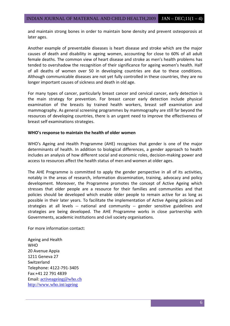and maintain strong bones in order to maintain bone density and prevent osteoporosis at later ages.

Another example of preventable diseases is heart disease and stroke which are the major causes of death and disability in ageing women, accounting for close to 60% of all adult female deaths. The common view of heart disease and stroke as men's health problems has tended to overshadow the recognition of their significance for ageing women's health. Half of all deaths of women over 50 in developing countries are due to these conditions. Although communicable diseases are not yet fully controlled in these countries, they are no longer important causes of sickness and death in old age.

For many types of cancer, particularly breast cancer and cervical cancer, early detection is the main strategy for prevention. For breast cancer early detection include physical examination of the breasts by trained health workers, breast self examination and mammography. As general screening programmes by mammography are still far beyond the resources of developing countries, there is an urgent need to improve the effectiveness of breast self examinations strategies.

### WHO's response to maintain the health of older women

WHO's Ageing and Health Programme (AHE) recognises that gender is one of the major determinants of health. In addition to biological differences, a gender approach to health includes an analysis of how different social and economic roles, decision-making power and access to resources affect the health status of men and women at older ages.

The AHE Programme is committed to apply the gender perspective in all of its activities, notably in the areas of research, information dissemination, training, advocacy and policy development. Moreover, the Programme promotes the concept of Active Ageing which stresses that older people are a resource for their families and communities and that policies should be developed which enable older people to remain active for as long as possible in their later years. To facilitate the implementation of Active Ageing policies and strategies at all levels -- national and community -- gender sensitive guidelines and strategies are being developed. The AHE Programme works in close partnership with Governments, academic institutions and civil society organisations.

For more information contact:

Ageing and Health WHO 20 Avenue Appia 1211 Geneva 27 **Switzerland** Telephone: 4122-791-3405 Fax:+41 22 791 4839 Email: activeageing@who.ch http://www.who.int/ageing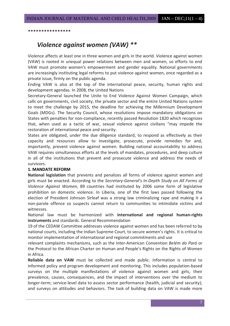\*\*\*\*\*\*\*\*\*\*\*\*\*\*\*\*

## **Violence against women (VAW) \*\***

Violence affects at least one in three women and girls in the world. Violence against women (VAW) is rooted in unequal power relations between men and women, so efforts to end VAW must promote women's empowerment and gender equality. National governments are increasingly instituting legal reforms to put violence against women, once regarded as a private issue, firmly on the public agenda.

Ending VAW is also at the top of the international peace, security, human rights and development agendas. In 2008, the United Nations

Secretary-General launched the Unite to End Violence Against Women Campaign, which calls on governments, civil society, the private sector and the entire United Nations system to meet the challenge by 2015, the deadline for achieving the Millennium Development Goals (MDGs). The Security Council, whose resolutions impose mandatory obligations on States with penalties for non-compliance, recently passed Resolution 1820 which recognizes that, when used as a tactic of war, sexual violence against civilians "may impede the restoration of international peace and security.

States are obligated, under the due diligence standard, to respond as effectively as their capacity and resources allow to investigate, prosecute, provide remedies for and, importantly, prevent violence against women. Building national accountability to address VAW requires simultaneous efforts at the levels of mandates, procedures, and deep culture in all of the institutions that prevent and prosecute violence and address the needs of survivors.

### 1. MANDATE REFORM

National legislation that prevents and penalizes all forms of violence against women and girls must be enacted. According to the Secretary-General's In-Depth Study on All Forms of Violence Against Women, 89 countries had instituted by 2006 some form of legislative prohibition on domestic violence. In Liberia, one of the first laws passed following the election of President Johnson Sirleaf was a strong law criminalizing rape and making it a non-parole offence so suspects cannot return to communities to intimidate victims and witnesses.

National law must be harmonized with international and regional human-rights instruments and standards. General Recommendation

19 of the CEDAW Committee addresses violence against women and has been referred to by national courts, including the Indian Supreme Court, to secure women's rights. It is critical to monitor implementation of international and regional commitments and use

relevant complaints mechanisms, such as the Inter-American Convention Belém do Pará or the Protocol to the African Charter on Human and People's Rights on the Rights of Women in Africa.

Reliable data on VAW must be collected and made public. Information is central to informed policy and program development and monitoring. This includes population-based surveys on the multiple manifestations of violence against women and girls, their prevalence, causes, consequences, and the impact of interventions over the medium to longer-term; service-level data to assess sector performance (health, judicial and security); and surveys on attitudes and behaviors. The task of building data on VAW is made more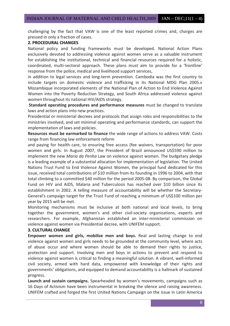challenging by the fact that VAW is one of the least reported crimes and, charges are pressed in only a fraction of cases.

### 2. PROCEDURAL CHANGES

National policy and funding frameworks must be developed. National Action Plans exclusively devoted to addressing violence against women serve as a valuable instrument for establishing the institutional, technical and financial resources required for a holistic, coordinated, multi-sectoral approach. These plans must aim to provide for a 'frontline' response from the police, medical and livelihood support services,

in addition to legal services and long-term prevention. Cambodia was the first country to include targets on domestic violence and trafficking in its National MDG Plan 2005.v Mozambique incorporated elements of the National Plan of Action to End Violence Against Women into the Poverty Reduction Strategy, and South Africa addressed violence against women throughout its national HIV/AIDS strategy.

 Standard operating procedures and performance measures must be changed to translate laws and action plans into new practices.

Presidential or ministerial decrees and protocols that assign roles and responsibilities to the ministries involved, and set minimal operating and performance standards, can support the implementation of laws and policies.

Resources must be earmarked to finance the wide range of actions to address VAW. Costs range from financing law enforcement reform

and paying for health care, to ensuring free access (fee waivers, transportation) for poor women and girls. In August 2007, the President of Brazil announced US\$590 million to implement the new Maria da Penha Law on violence against women. The budgetary pledge is a leading example of a substantial allocation for implementation of legislation. The United Nations Trust Fund to End Violence Against Women, the principal fund dedicated for this issue, received total contributions of \$10 million from its founding in 1996 to 2004, with that total climbing to a committed \$40 million for the period 2005-08. By comparison, the Global Fund on HIV and AIDS, Malaria and Tuberculosis has reached over \$10 billion since its establishment in 2002. A telling measure of accountability will be whether the Secretary-General's campaign target for the Trust Fund of reaching a minimum of US\$100 million per year by 2015 will be met.

Monitoring mechanisms must be inclusive at both national and local levels, to bring together the government, women's and other civil-society organizations, experts and researchers. For example, Afghanistan established an inter-ministerial commission on violence against women via Presidential decree, with UNIFEM support.

#### 3. CULTURAL CHANGE

Empower women and girls, mobilize men and boys. Real and lasting change to end violence against women and girls needs to be grounded at the community level, where acts of abuse occur and where women should be able to demand their rights to justice, protection and support. Involving men and boys in actions to prevent and respond to violence against women is critical to finding a meaningful solution. A vibrant, well-informed civil society, armed with hard data, empowered with knowledge of their rights and governments' obligations, and equipped to demand accountability is a hallmark of sustained progress.

Launch and sustain campaigns. Spearheaded by women's movements, campaigns such as 16 Days of Activism have been instrumental in breaking the silence and raising awareness. UNIFEM crafted and forged the first United Nations Campaign on the issue in Latin America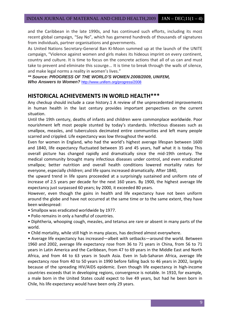and the Caribbean in the late 1990s, and has continued such efforts, including its most recent global campaign, "Say No", which has garnered hundreds of thousands of signatures from individuals, partner organisations and governments.

As United Nations Secretary-General Ban Ki-Moon summed up at the launch of the UNITE campaign, "Violence against women and girls makes its hideous imprint on every continent, country and culture. It is time to focus on the concrete actions that all of us can and must take to prevent and eliminate this scourge... It is time to break through the walls of silence, and make legal norms a reality in women's lives."

**\*\* Source: PROGRESS OF THE WORLD'S WOMEN 2008/2009,** UNIFEM, **Who Answers to Women?** http://www.unifem.org/progress/2008

### HISTORICAL ACHIEVEMENTS IN WORLD HEALTH\*\*\*

Any checkup should include a case history.1 A review of the unprecedented improvements in human health in the last century provides important perspectives on the current situation.

Until the 19th century, deaths of infants and children were commonplace worldwide. Poor nourishment left most people stunted by today's standards. Infectious diseases such as smallpox, measles, and tuberculosis decimated entire communities and left many people scarred and crippled. Life expectancy was low throughout the world.

Even for women in England, who had the world's highest average lifespan between 1600 and 1840, life expectancy fluctuated between 35 and 45 years, half what it is today This overall picture has changed rapidly and dramatically since the mid-19th century. The medical community brought many infectious diseases under control, and even eradicated smallpox; better nutrition and overall health conditions lowered mortality rates for everyone, especially children; and life spans increased dramatically. After 1840,

the upward trend in life spans proceeded at a surprisingly sustained and uniform rate of increase of 2.5 years per decade for the next 160 years. By 1900, the highest average life expectancy just surpassed 60 years; by 2000, it exceeded 80 years.

However, even though the gains in health and life expectancy have not been uniform around the globe and have not occurred at the same time or to the same extent, they have been widespread:

- Smallpox was eradicated worldwide by 1977.
- Polio remains in only a handful of countries.
- Diphtheria, whooping cough, measles, and tetanus are rare or absent in many parts of the world.
- Child mortality, while still high in many places, has declined almost everywhere.

• Average life expectancy has increased—albeit with setbacks—around the world. Between 1960 and 2002, average life expectancy rose from 36 to 71 years in China, from 56 to 71 years in Latin America and the Caribbean, from 47 to 69 years in the Middle East and North Africa, and from 44 to 63 years in South Asia. Even in Sub-Saharan Africa, average life expectancy rose from 40 to 50 years in 1990 before falling back to 46 years in 2002, largely because of the spreading HIV/AIDS epidemic. Even though life expectancy in high-income countries exceeds that in developing regions, convergence is notable. In 1910, for example, a male born in the United States could expect to live 49 years, but had he been born in Chile, his life expectancy would have been only 29 years.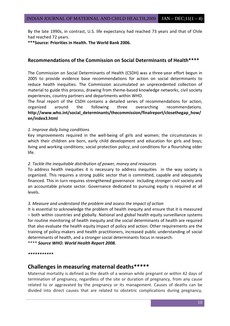By the late 1990s, in contrast, U.S. life expectancy had reached 73 years and that of Chile had reached 72 years.

\*\*\*Source: Priorities in Health. The World Bank 2006.

### Recommendations of the Commission on Social Determinants of Health\*\*\*\*

The Commission on Social Determinants of Health (CSDH) was a three-year effort begun in 2005 to provide evidence base recommendations for action on social determinants to reduce health inequities. The Commission accumulated an unprecedented collection of material to guide this process, drawing from theme-based knowledge networks, civil society experiences, country partners and departments within WHO.

The final report of the CSDH contains a detailed series of recommendations for action, organized around the following three overarching recommendations. http://www.who.int/social\_determinants/thecommission/finalreport/closethegap\_how/ en/index3.html

#### 1. Improve daily living conditions

Key improvements required in the well-being of girls and women; the circumstances in which their children are born, early child development and education for girls and boys; living and working conditions; social protection policy; and conditions for a flourishing older life.

### 2. Tackle the inequitable distribution of power, money and resources

To address health inequities it is necessary to address inequities in the way society is organized. This requires a strong public sector that is committed, capable and adequately financed. This in turn requires strengthened governance including stronger civil society and an accountable private sector. Governance dedicated to pursuing equity is required at all levels.

### 3. Measure and understand the problem and assess the impact of action

It is essential to acknowledge the problem of health inequity and ensure that it is measured – both within countries and globally. National and global health equity surveillance systems for routine monitoring of health inequity and the social determinants of health are required that also evaluate the health equity impact of policy and action. Other requirements are the training of policy-makers and health practitioners, increased public understanding of social determinants of health, and a stronger social determinants focus in research.

### \*\*\*\* Source WHO. World Health Report 2008.

\*\*\*\*\*\*\*\*\*\*

### Challenges in measuring maternal deaths\*\*\*\*\*

Maternal mortality is defined as the death of a woman while pregnant or within 42 days of termination of pregnancy, regardless of the site or duration of pregnancy, from any cause related to or aggravated by the pregnancy or its management. Causes of deaths can be divided into direct causes that are related to obstetric complications during pregnancy,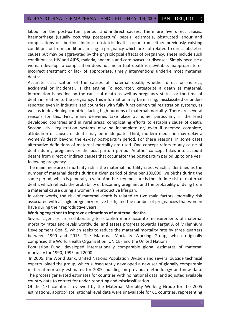labour or the post-partum period, and indirect causes. There are five direct causes: haemorrhage (usually occurring postpartum), sepsis, eclampsia, obstructed labour and complications of abortion. Indirect obstetric deaths occur from either previously existing conditions or from conditions arising in pregnancy which are not related to direct obstetric causes but may be aggravated by the physiological effects of pregnancy. These include such conditions as HIV and AIDS, malaria, anaemia and cardiovascular diseases. Simply because a woman develops a complication does not mean that death is inevitable; inappropriate or incorrect treatment or lack of appropriate, timely interventions underlie most maternal deaths.

Accurate classification of the causes of maternal death, whether direct or indirect, accidental or incidental, is challenging To accurately categorize a death as maternal, information is needed on the cause of death as well as pregnancy status, or the time of death in relation to the pregnancy. This information may be missing, misclassified or underreported even in industrialized countries with fully functioning vital registration systems, as well as in developing countries facing high burdens of maternal mortality. There are several reasons for this: First, many deliveries take place at home, particularly in the least developed countries and in rural areas, complicating efforts to establish cause of death. Second, civil registration systems may be incomplete or, even if deemed complete, attribution of causes of death may be inadequate. Third, modern medicine may delay a women's death beyond the 42-day post-partum period. For these reasons, in some cases alternative definitions of maternal mortality are used. One concept refers to any cause of death during pregnancy or the post-partum period. Another concept takes into account deaths from direct or indirect causes that occur after the post-partum period up to one year following pregnancy.

The main measure of mortality risk is the maternal mortality ratio, which is identified as the number of maternal deaths during a given period of time per 100,000 live births during the same period, which is generally a year. Another key measure is the lifetime risk of maternal death, which reflects the probability of becoming pregnant and the probability of dying from a maternal cause during a women's reproductive lifespan.

In other words, the risk of maternal death is related to two main factors: mortality risk associated with a single pregnancy or live birth; and the number of pregnancies that women have during their reproductive years.

### Working together to improve estimations of maternal deaths

Several agencies are collaborating to establish more accurate measurements of maternal mortality rates and levels worldwide, and assess progress towards Target A of Millennium Development Goal 5, which seeks to reduce the maternal mortality rate by three quarters between 1990 and 2015. The Maternal Mortality Working Group, which originally comprised the World Health Organization, UNICEF and the United Nations

Population Fund, developed internationally comparable global estimates of maternal mortality for 1990, 1995 and 2000.

 In 2006, the World Bank, United Nations Population Division and several outside technical experts joined the group, which subsequently developed a new set of globally comparable maternal mortality estimates for 2005, building on previous methodology and new data. The process generated estimates for countries with no national data, and adjusted available country data to correct for under-reporting and misclassification.

Of the 171 countries reviewed by the Maternal Mortality Working Group for the 2005 estimations, appropriate national level data were unavailable for 61 countries, representing